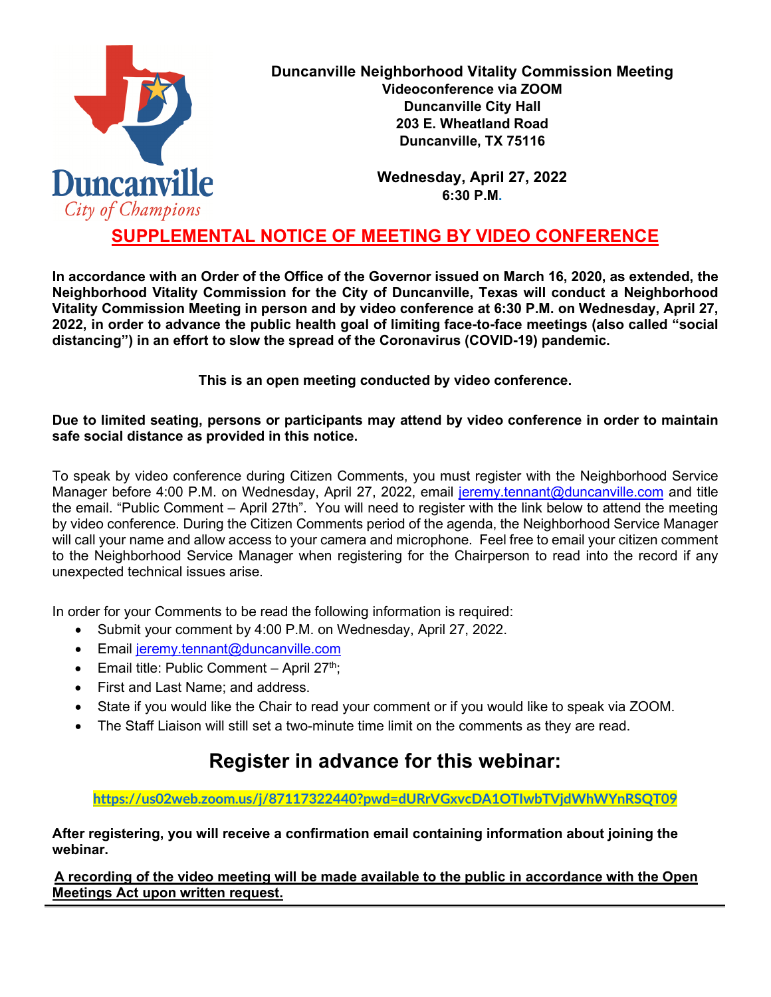

**Duncanville Neighborhood Vitality Commission Meeting Videoconference via ZOOM Duncanville City Hall 203 E. Wheatland Road Duncanville, TX 75116**

> **Wednesday, April 27, 2022 6:30 P.M.**

# **SUPPLEMENTAL NOTICE OF MEETING BY VIDEO CONFERENCE**

**In accordance with an Order of the Office of the Governor issued on March 16, 2020, as extended, the Neighborhood Vitality Commission for the City of Duncanville, Texas will conduct a Neighborhood Vitality Commission Meeting in person and by video conference at 6:30 P.M. on Wednesday, April 27, 2022, in order to advance the public health goal of limiting face-to-face meetings (also called "social distancing") in an effort to slow the spread of the Coronavirus (COVID-19) pandemic.** 

**This is an open meeting conducted by video conference.**

#### **Due to limited seating, persons or participants may attend by video conference in order to maintain safe social distance as provided in this notice.**

To speak by video conference during Citizen Comments, you must register with the Neighborhood Service Manager before 4:00 P.M. on Wednesday, April 27, 2022, email [jeremy.tennant@duncanville.com](mailto:jeremy.tennant@duncanville.com) and title the email. "Public Comment – April 27th". You will need to register with the link below to attend the meeting by video conference. During the Citizen Comments period of the agenda, the Neighborhood Service Manager will call your name and allow access to your camera and microphone. Feel free to email your citizen comment to the Neighborhood Service Manager when registering for the Chairperson to read into the record if any unexpected technical issues arise.

In order for your Comments to be read the following information is required:

- Submit your comment by 4:00 P.M. on Wednesday, April 27, 2022.
- Email [jeremy.tennant@duncanville.com](mailto:jeremy.tennant@duncanville.com)
- Email title: Public Comment April  $27<sup>th</sup>$ ;
- First and Last Name; and address.
- State if you would like the Chair to read your comment or if you would like to speak via ZOOM.
- The Staff Liaison will still set a two-minute time limit on the comments as they are read.

# **Register in advance for this webinar:**

**<https://us02web.zoom.us/j/87117322440?pwd=dURrVGxvcDA1OTIwbTVjdWhWYnRSQT09>**

**After registering, you will receive a confirmation email containing information about joining the webinar.**

**A recording of the video meeting will be made available to the public in accordance with the Open Meetings Act upon written request.**